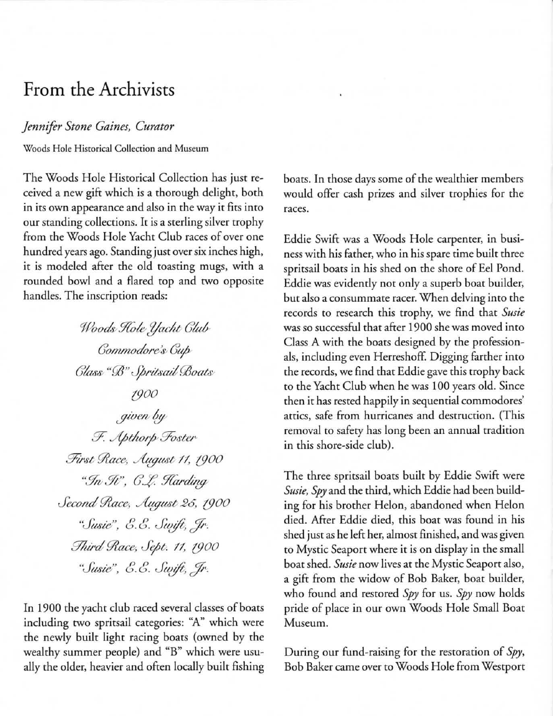## **From the Archivists**

## *Jennifer Stone Gaines, Curator*

**Woods Hole Hiscoricai Collection and Museum** 

The Woods Hole Historical Collection has just received a new gift which is a thorough delight, both in its own appearance and also in the way it fits into our standing collections. It is a sterling silver trophy from the Woods Hole Yacht Club races of over one hundred years ago. Standing just over six inches high, it is modeled after the old toasting mugs, with a rounded bowl and a flared top and two opposite handles. The inscription reads:

> Woods Hole Yacht Glub  $Gommodore's$ <sup>*Gup*</sup>  $Glass \lq \lq \mathcal{B} \lq \lq \mathcal{S}$ ritsail Boats *{fJOO ,!/wt:/t/&*   $F.$  Apthorp Foster *.%".t; 9?ace, '/{tg7lMt;* 11, *(fJOO*  "In  $\mathcal{F}$ ",  $C.L.$  Harding *Jecolld 9?ace-. h(j'llJ't-* 26, *{fJOO*  "*Susie"*, *E.E. Swift*, *Ir. mttid 9?aa" Jtpt-.* 11, *(fJOO*  "Susie", E.E. Swift, *Ir.*

In 1900 the yacht club raced several classes of boats including two sprirsail categories: "A" which were the newly built light racing boars (owned by the wealthy summer people) and "B" which were usually the older, heavier and often locally built fishing boars. In those days some of the wealthier members would offer cash prizes and silver trophies for the **races.** 

Eddie Swift was a Woods Hole carpenter, in business with his father, who in his spare time built three sprirsail boars in his shed on the shore of Eel Pond. Eddie was evidently not only a superb boat builder, **but also a consummate racer. When delving into the**  records to research this trophy, we find that *Susie*  was so successful that after 1900 she was moved into Class A with the boars designed by the professionals, including even Herreshoff. Digging farther into the records, we find that Eddie gave this trophy back to the Yacht Club when he was 100 years old. Since then it has rested happily in sequential commodores' attics, safe from hurricanes and destruction. (This removal to safety has long been an annual tradition in this shore-side club) .

The three spritsail boats built by Eddie Swift were *Susie, Spy* and the third, which Eddie had been building for his brother Helon, abandoned when Helon died. Mter Eddie died, this boat was found in his shed just as he left her, almost finished, and was given to Mystic Seaport where it is on display in the small boat shed. *Susie* now lives at the Mystic Seaport also, a gift from the widow of Bob Baker, boat builder, who found and restored *Spy* for us. *Spy* now holds pride of place in our own Woods Hole Small Boat **Museum.** 

During our fund-raising for the restoration of Spy, Bob Baker came over to Woods Hole from Westport